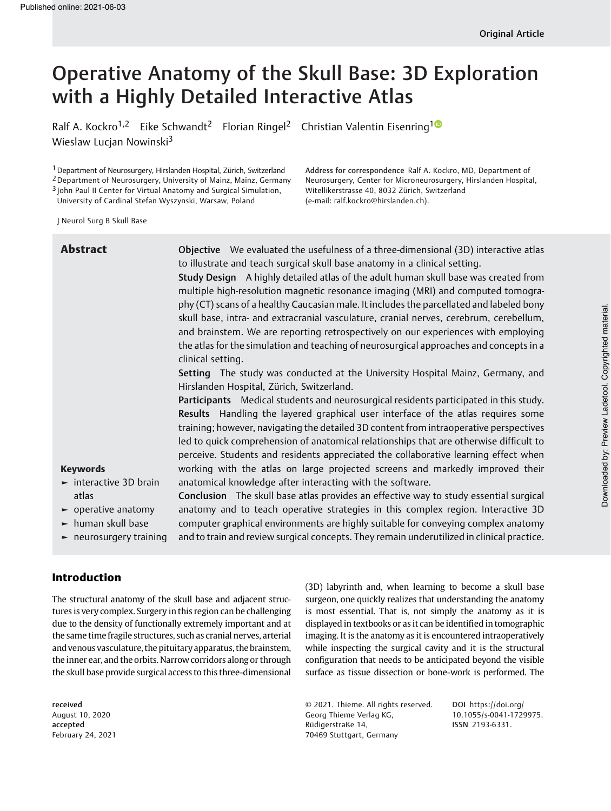# Operative Anatomy of the Skull Base: 3D Exploration with a Highly Detailed Interactive Atlas

Ralf A. Kockro<sup>1,2</sup> Eike Schwandt<sup>2</sup> Florian Ringel<sup>2</sup> Christian Valentin Eisenring<sup>10</sup> Wieslaw Lucjan Nowinski<sup>3</sup>

1Department of Neurosurgery, Hirslanden Hospital, Zürich, Switzerland

2Department of Neurosurgery, University of Mainz, Mainz, Germany

3 John Paul II Center for Virtual Anatomy and Surgical Simulation,

University of Cardinal Stefan Wyszynski, Warsaw, Poland

Address for correspondence Ralf A. Kockro, MD, Department of Neurosurgery, Center for Microneurosurgery, Hirslanden Hospital, Witellikerstrasse 40, 8032 Zürich, Switzerland (e-mail: [ralf.kockro@hirslanden.ch](mailto:ralf.kockro@hirslanden.ch)).

J Neurol Surg B Skull Base

| <b>Abstract</b>                                                                                                                           | Objective We evaluated the usefulness of a three-dimensional (3D) interactive atlas<br>to illustrate and teach surgical skull base anatomy in a clinical setting.<br>Study Design A highly detailed atlas of the adult human skull base was created from<br>multiple high-resolution magnetic resonance imaging (MRI) and computed tomogra-<br>phy (CT) scans of a healthy Caucasian male. It includes the parcellated and labeled bony<br>skull base, intra- and extracranial vasculature, cranial nerves, cerebrum, cerebellum,<br>and brainstem. We are reporting retrospectively on our experiences with employing<br>the atlas for the simulation and teaching of neurosurgical approaches and concepts in a<br>clinical setting.<br>Setting The study was conducted at the University Hospital Mainz, Germany, and |
|-------------------------------------------------------------------------------------------------------------------------------------------|--------------------------------------------------------------------------------------------------------------------------------------------------------------------------------------------------------------------------------------------------------------------------------------------------------------------------------------------------------------------------------------------------------------------------------------------------------------------------------------------------------------------------------------------------------------------------------------------------------------------------------------------------------------------------------------------------------------------------------------------------------------------------------------------------------------------------|
|                                                                                                                                           | Hirslanden Hospital, Zürich, Switzerland.<br>Participants Medical students and neurosurgical residents participated in this study.                                                                                                                                                                                                                                                                                                                                                                                                                                                                                                                                                                                                                                                                                       |
|                                                                                                                                           | Results Handling the layered graphical user interface of the atlas requires some<br>training; however, navigating the detailed 3D content from intraoperative perspectives<br>led to quick comprehension of anatomical relationships that are otherwise difficult to<br>perceive. Students and residents appreciated the collaborative learning effect when                                                                                                                                                                                                                                                                                                                                                                                                                                                              |
| <b>Keywords</b><br>$\blacktriangleright$ interactive 3D brain                                                                             | working with the atlas on large projected screens and markedly improved their<br>anatomical knowledge after interacting with the software.                                                                                                                                                                                                                                                                                                                                                                                                                                                                                                                                                                                                                                                                               |
| atlas<br>$\blacktriangleright$ operative anatomy<br>$\blacktriangleright$ human skull base<br>$\blacktriangleright$ neurosurgery training | Conclusion The skull base atlas provides an effective way to study essential surgical<br>anatomy and to teach operative strategies in this complex region. Interactive 3D<br>computer graphical environments are highly suitable for conveying complex anatomy<br>and to train and review surgical concepts. They remain underutilized in clinical practice.                                                                                                                                                                                                                                                                                                                                                                                                                                                             |

# Introduction

The structural anatomy of the skull base and adjacent structures is very complex. Surgery in this region can be challenging due to the density of functionally extremely important and at the same time fragile structures, such as cranial nerves, arterial and venous vasculature, the pituitary apparatus, the brainstem, the inner ear, and the orbits. Narrow corridors along or through the skull base provide surgical access to this three-dimensional

received August 10, 2020 accepted February 24, 2021 (3D) labyrinth and, when learning to become a skull base surgeon, one quickly realizes that understanding the anatomy is most essential. That is, not simply the anatomy as it is displayed in textbooks or as it can be identified in tomographic imaging. It is the anatomy as it is encountered intraoperatively while inspecting the surgical cavity and it is the structural configuration that needs to be anticipated beyond the visible surface as tissue dissection or bone-work is performed. The

© 2021. Thieme. All rights reserved. Georg Thieme Verlag KG, Rüdigerstraße 14, 70469 Stuttgart, Germany

DOI [https://doi.org/](https://doi.org/10.1055/s-0041-1729975) [10.1055/s-0041-1729975](https://doi.org/10.1055/s-0041-1729975). ISSN 2193-6331.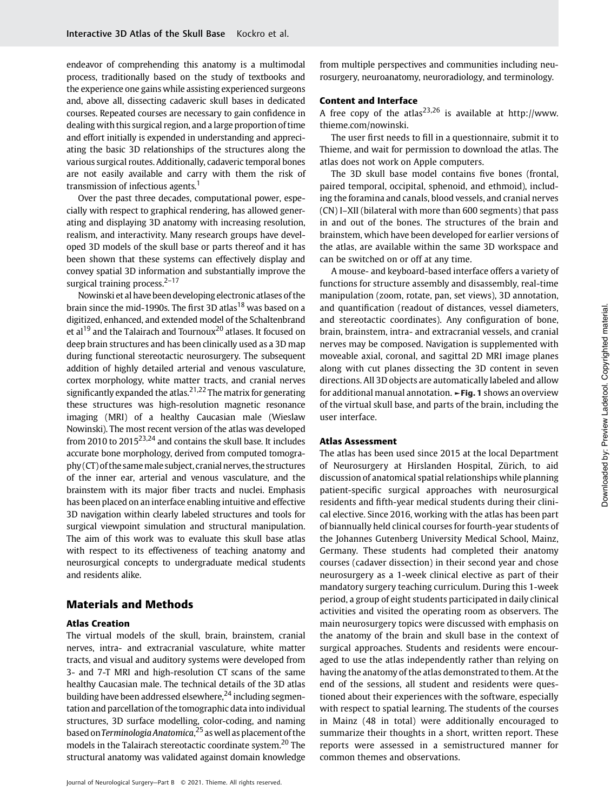endeavor of comprehending this anatomy is a multimodal process, traditionally based on the study of textbooks and the experience one gains while assisting experienced surgeons and, above all, dissecting cadaveric skull bases in dedicated courses. Repeated courses are necessary to gain confidence in dealing with this surgical region, and a large proportion of time and effort initially is expended in understanding and appreciating the basic 3D relationships of the structures along the various surgical routes. Additionally, cadaveric temporal bones are not easily available and carry with them the risk of transmission of infectious agents.<sup>1</sup>

Over the past three decades, computational power, especially with respect to graphical rendering, has allowed generating and displaying 3D anatomy with increasing resolution, realism, and interactivity. Many research groups have developed 3D models of the skull base or parts thereof and it has been shown that these systems can effectively display and convey spatial 3D information and substantially improve the surgical training process.<sup>2-17</sup>

Nowinski et al have been developing electronic atlases of the brain since the mid-1990s. The first 3D atlas<sup>18</sup> was based on a digitized, enhanced, and extended model of the Schaltenbrand et al<sup>19</sup> and the Talairach and Tournoux<sup>20</sup> atlases. It focused on deep brain structures and has been clinically used as a 3D map during functional stereotactic neurosurgery. The subsequent addition of highly detailed arterial and venous vasculature, cortex morphology, white matter tracts, and cranial nerves significantly expanded the atlas.<sup>21,22</sup> The matrix for generating these structures was high-resolution magnetic resonance imaging (MRI) of a healthy Caucasian male (Wieslaw Nowinski). The most recent version of the atlas was developed from 2010 to 2015<sup>23,24</sup> and contains the skull base. It includes accurate bone morphology, derived from computed tomogra $phy (CT)$  of the same male subject, cranial nerves, the structures of the inner ear, arterial and venous vasculature, and the brainstem with its major fiber tracts and nuclei. Emphasis has been placed on an interface enabling intuitive and effective 3D navigation within clearly labeled structures and tools for surgical viewpoint simulation and structural manipulation. The aim of this work was to evaluate this skull base atlas with respect to its effectiveness of teaching anatomy and neurosurgical concepts to undergraduate medical students and residents alike.

# Materials and Methods

#### Atlas Creation

The virtual models of the skull, brain, brainstem, cranial nerves, intra- and extracranial vasculature, white matter tracts, and visual and auditory systems were developed from 3- and 7-T MRI and high-resolution CT scans of the same healthy Caucasian male. The technical details of the 3D atlas building have been addressed elsewhere,  $24$  including segmentation and parcellation of the tomographic data into individual structures, 3D surface modelling, color-coding, and naming based on Terminologia Anatomica,<sup>25</sup> as well as placement of the models in the Talairach stereotactic coordinate system.<sup>20</sup> The structural anatomy was validated against domain knowledge from multiple perspectives and communities including neurosurgery, neuroanatomy, neuroradiology, and terminology.

#### Content and Interface

A free copy of the atlas<sup>23,26</sup> is available at [http://www.](http://www.thieme.com/nowinski) [thieme.com/nowinski.](http://www.thieme.com/nowinski)

The user first needs to fill in a questionnaire, submit it to Thieme, and wait for permission to download the atlas. The atlas does not work on Apple computers.

The 3D skull base model contains five bones (frontal, paired temporal, occipital, sphenoid, and ethmoid), including the foramina and canals, blood vessels, and cranial nerves (CN) I–XII (bilateral with more than 600 segments) that pass in and out of the bones. The structures of the brain and brainstem, which have been developed for earlier versions of the atlas, are available within the same 3D workspace and can be switched on or off at any time.

A mouse- and keyboard-based interface offers a variety of functions for structure assembly and disassembly, real-time manipulation (zoom, rotate, pan, set views), 3D annotation, and quantification (readout of distances, vessel diameters, and stereotactic coordinates). Any configuration of bone, brain, brainstem, intra- and extracranial vessels, and cranial nerves may be composed. Navigation is supplemented with moveable axial, coronal, and sagittal 2D MRI image planes along with cut planes dissecting the 3D content in seven directions. All 3D objects are automatically labeled and allow for additional manual annotation. ►Fig. 1 shows an overview of the virtual skull base, and parts of the brain, including the user interface.

#### Atlas Assessment

The atlas has been used since 2015 at the local Department of Neurosurgery at Hirslanden Hospital, Zürich, to aid discussion of anatomical spatial relationships while planning patient-specific surgical approaches with neurosurgical residents and fifth-year medical students during their clinical elective. Since 2016, working with the atlas has been part of biannually held clinical courses for fourth-year students of the Johannes Gutenberg University Medical School, Mainz, Germany. These students had completed their anatomy courses (cadaver dissection) in their second year and chose neurosurgery as a 1-week clinical elective as part of their mandatory surgery teaching curriculum. During this 1-week period, a group of eight students participated in daily clinical activities and visited the operating room as observers. The main neurosurgery topics were discussed with emphasis on the anatomy of the brain and skull base in the context of surgical approaches. Students and residents were encouraged to use the atlas independently rather than relying on having the anatomy of the atlas demonstrated to them. At the end of the sessions, all student and residents were questioned about their experiences with the software, especially with respect to spatial learning. The students of the courses in Mainz (48 in total) were additionally encouraged to summarize their thoughts in a short, written report. These reports were assessed in a semistructured manner for common themes and observations.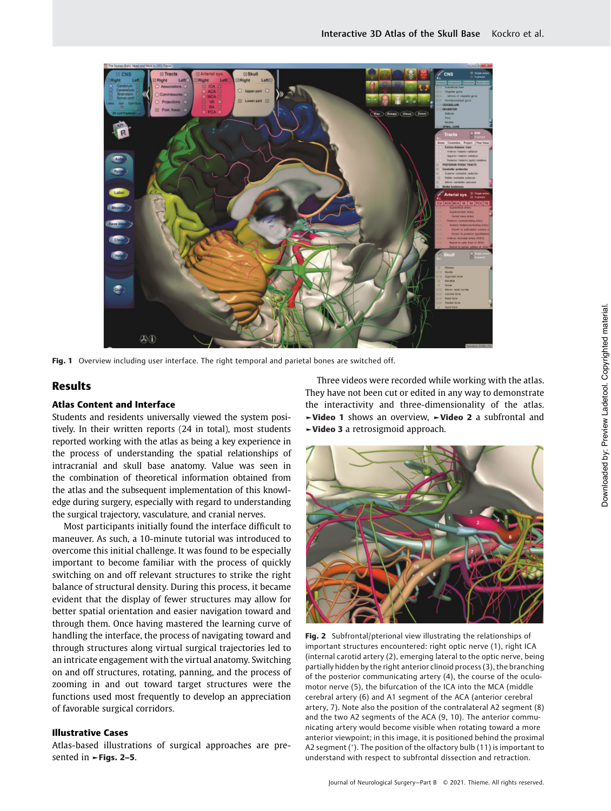

Fig. 1 Overview including user interface. The right temporal and parietal bones are switched off.

# Results

#### Atlas Content and Interface

Students and residents universally viewed the system positively. In their written reports (24 in total), most students reported working with the atlas as being a key experience in the process of understanding the spatial relationships of intracranial and skull base anatomy. Value was seen in the combination of theoretical information obtained from the atlas and the subsequent implementation of this knowledge during surgery, especially with regard to understanding the surgical trajectory, vasculature, and cranial nerves.

Most participants initially found the interface difficult to maneuver. As such, a 10-minute tutorial was introduced to overcome this initial challenge. It was found to be especially important to become familiar with the process of quickly switching on and off relevant structures to strike the right balance of structural density. During this process, it became evident that the display of fewer structures may allow for better spatial orientation and easier navigation toward and through them. Once having mastered the learning curve of handling the interface, the process of navigating toward and through structures along virtual surgical trajectories led to an intricate engagement with the virtual anatomy. Switching on and off structures, rotating, panning, and the process of zooming in and out toward target structures were the functions used most frequently to develop an appreciation of favorable surgical corridors.

#### Illustrative Cases

Atlas-based illustrations of surgical approaches are presented in **►Figs. 2–5**.

Three videos were recorded while working with the atlas. They have not been cut or edited in any way to demonstrate the interactivity and three-dimensionality of the atlas. ►Video 1 shows an overview, ►Video 2 a subfrontal and ►Video 3 a retrosigmoid approach.



Fig. 2 Subfrontal/pterional view illustrating the relationships of important structures encountered: right optic nerve (1), right ICA (internal carotid artery (2), emerging lateral to the optic nerve, being partially hidden by the right anterior clinoid process (3), the branching of the posterior communicating artery (4), the course of the oculomotor nerve (5), the bifurcation of the ICA into the MCA (middle cerebral artery (6) and A1 segment of the ACA (anterior cerebral artery, 7). Note also the position of the contralateral A2 segment (8) and the two A2 segments of the ACA (9, 10). The anterior communicating artery would become visible when rotating toward a more anterior viewpoint; in this image, it is positioned behind the proximal A2 segment (\*). The position of the olfactory bulb (11) is important to understand with respect to subfrontal dissection and retraction.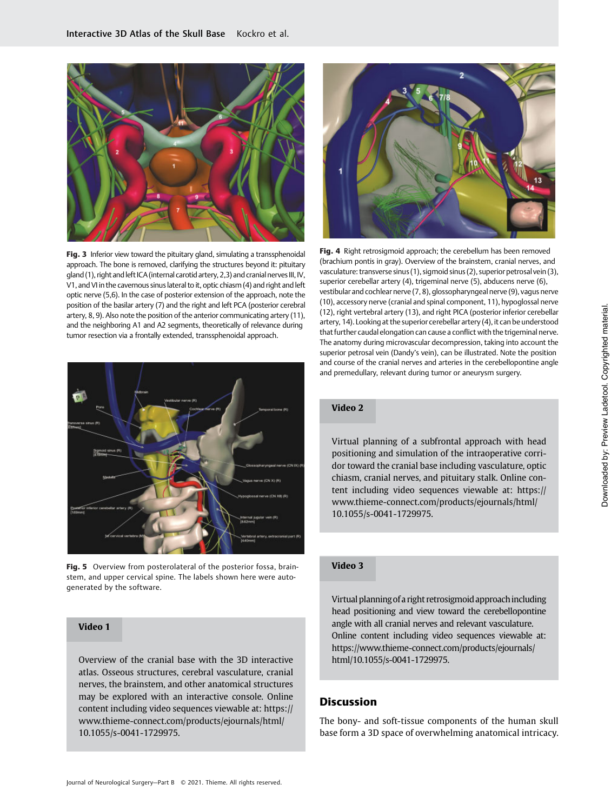

Fig. 3 Inferior view toward the pituitary gland, simulating a transsphenoidal approach. The bone is removed, clarifying the structures beyond it: pituitary gland (1), right and left ICA (internal carotid artery, 2,3) and cranial nerves III, IV, V1, and VI in the cavernous sinus lateral to it, optic chiasm (4) and right and left optic nerve (5,6). In the case of posterior extension of the approach, note the position of the basilar artery (7) and the right and left PCA (posterior cerebral artery, 8, 9). Also note the position of the anterior communicating artery (11), and the neighboring A1 and A2 segments, theoretically of relevance during tumor resection via a frontally extended, transsphenoidal approach.



Fig. 5 Overview from posterolateral of the posterior fossa, brainstem, and upper cervical spine. The labels shown here were autogenerated by the software.

# Video 1

Overview of the cranial base with the 3D interactive atlas. Osseous structures, cerebral vasculature, cranial nerves, the brainstem, and other anatomical structures may be explored with an interactive console. Online content including video sequences viewable at: [https://](https://www.thieme-connect.com/products/ejournals/html/10.1055/s-0041-1729975) [www.thieme-connect.com/products/ejournals/html/](https://www.thieme-connect.com/products/ejournals/html/10.1055/s-0041-1729975) [10.1055/s-0041-1729975.](https://www.thieme-connect.com/products/ejournals/html/10.1055/s-0041-1729975)



Fig. 4 Right retrosigmoid approach; the cerebellum has been removed (brachium pontis in gray). Overview of the brainstem, cranial nerves, and vasculature: transverse sinus (1), sigmoid sinus (2), superior petrosal vein (3), superior cerebellar artery (4), trigeminal nerve (5), abducens nerve (6), vestibular and cochlear nerve (7, 8), glossopharyngeal nerve (9), vagus nerve (10), accessory nerve (cranial and spinal component, 11), hypoglossal nerve (12), right vertebral artery (13), and right PICA (posterior inferior cerebellar artery, 14). Looking at the superior cerebellar artery (4), it can be understood that further caudal elongation can cause a conflict with the trigeminal nerve. The anatomy during microvascular decompression, taking into account the superior petrosal vein (Dandy's vein), can be illustrated. Note the position and course of the cranial nerves and arteries in the cerebellopontine angle and premedullary, relevant during tumor or aneurysm surgery.

### Video 2

Virtual planning of a subfrontal approach with head positioning and simulation of the intraoperative corridor toward the cranial base including vasculature, optic chiasm, cranial nerves, and pituitary stalk. Online content including video sequences viewable at[: https://](https://www.thieme-connect.com/products/ejournals/html/10.1055/s-0041-1729975) [www.thieme-connect.com/products/ejournals/html/](https://www.thieme-connect.com/products/ejournals/html/10.1055/s-0041-1729975) [10.1055/s-0041-1729975.](https://www.thieme-connect.com/products/ejournals/html/10.1055/s-0041-1729975)

# Video 3

Virtual planningof a right retrosigmoid approachincluding head positioning and view toward the cerebellopontine angle with all cranial nerves and relevant vasculature. Online content including video sequences viewable at: [https://www.thieme-connect.com/products/ejournals/](https://www.thieme-connect.com/products/ejournals/html/10.1055/s-0041-1729975) [html/10.1055/s-0041-1729975.](https://www.thieme-connect.com/products/ejournals/html/10.1055/s-0041-1729975)

# **Discussion**

The bony- and soft-tissue components of the human skull base form a 3D space of overwhelming anatomical intricacy.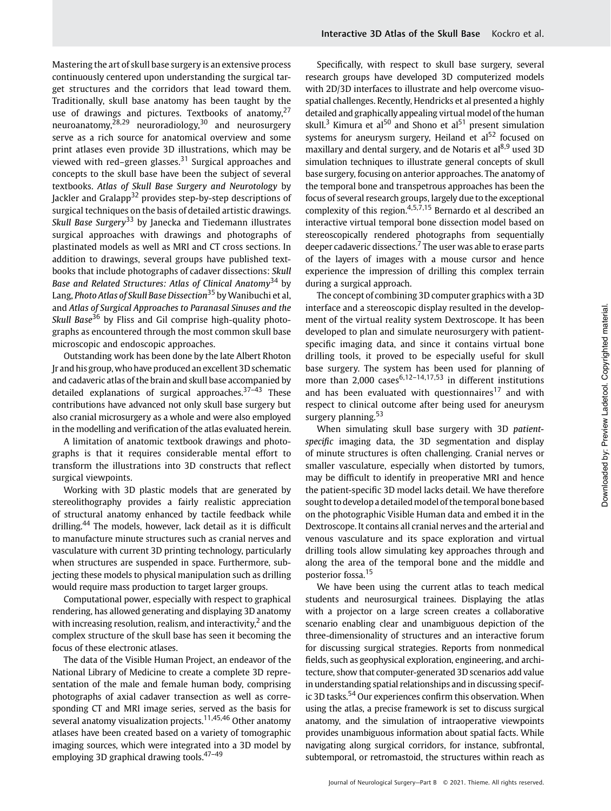Mastering the art of skull base surgery is an extensive process continuously centered upon understanding the surgical target structures and the corridors that lead toward them. Traditionally, skull base anatomy has been taught by the use of drawings and pictures. Textbooks of anatomy, $27$ neuroanatomy, $\overline{28,29}$  neuroradiology, $30$  and neurosurgery serve as a rich source for anatomical overview and some print atlases even provide 3D illustrations, which may be viewed with red–green glasses. $31$  Surgical approaches and concepts to the skull base have been the subject of several textbooks. Atlas of Skull Base Surgery and Neurotology by Jackler and Gralapp<sup>32</sup> provides step-by-step descriptions of surgical techniques on the basis of detailed artistic drawings. Skull Base Surgery<sup>33</sup> by Janecka and Tiedemann illustrates surgical approaches with drawings and photographs of plastinated models as well as MRI and CT cross sections. In addition to drawings, several groups have published textbooks that include photographs of cadaver dissections: Skull Base and Related Structures: Atlas of Clinical Anatomy<sup>34</sup> by Lang, *Photo Atlas of Skull Base Dissection*<sup>35</sup> by Wanibuchi et al, and Atlas of Surgical Approaches to Paranasal Sinuses and the Skull Base<sup>36</sup> by Fliss and Gil comprise high-quality photographs as encountered through the most common skull base microscopic and endoscopic approaches.

Outstanding work has been done by the late Albert Rhoton Jr and his group, who have produced an excellent 3D schematic and cadaveric atlas of the brain and skull base accompanied by detailed explanations of surgical approaches.<sup>37-43</sup> These contributions have advanced not only skull base surgery but also cranial microsurgery as a whole and were also employed in the modelling and verification of the atlas evaluated herein.

A limitation of anatomic textbook drawings and photographs is that it requires considerable mental effort to transform the illustrations into 3D constructs that reflect surgical viewpoints.

Working with 3D plastic models that are generated by stereolithography provides a fairly realistic appreciation of structural anatomy enhanced by tactile feedback while drilling.<sup>44</sup> The models, however, lack detail as it is difficult to manufacture minute structures such as cranial nerves and vasculature with current 3D printing technology, particularly when structures are suspended in space. Furthermore, subjecting these models to physical manipulation such as drilling would require mass production to target larger groups.

Computational power, especially with respect to graphical rendering, has allowed generating and displaying 3D anatomy with increasing resolution, realism, and interactivity, $<sup>2</sup>$  and the</sup> complex structure of the skull base has seen it becoming the focus of these electronic atlases.

The data of the Visible Human Project, an endeavor of the National Library of Medicine to create a complete 3D representation of the male and female human body, comprising photographs of axial cadaver transection as well as corresponding CT and MRI image series, served as the basis for several anatomy visualization projects.<sup>11,45,46</sup> Other anatomy atlases have been created based on a variety of tomographic imaging sources, which were integrated into a 3D model by employing 3D graphical drawing tools.<sup>47-49</sup>

Specifically, with respect to skull base surgery, several research groups have developed 3D computerized models with 2D/3D interfaces to illustrate and help overcome visuospatial challenges. Recently, Hendricks et al presented a highly detailed and graphically appealing virtual model of the human skull.<sup>3</sup> Kimura et al<sup>50</sup> and Shono et al<sup>51</sup> present simulation systems for aneurysm surgery, Heiland et  $al<sup>52</sup>$  focused on maxillary and dental surgery, and de Notaris et  $al^{8,9}$  used 3D simulation techniques to illustrate general concepts of skull base surgery, focusing on anterior approaches. The anatomy of the temporal bone and transpetrous approaches has been the focus of several research groups, largely due to the exceptional complexity of this region.<sup>4,5,7,15</sup> Bernardo et al described an interactive virtual temporal bone dissection model based on stereoscopically rendered photographs from sequentially deeper cadaveric dissections.<sup>7</sup> The user was able to erase parts of the layers of images with a mouse cursor and hence experience the impression of drilling this complex terrain during a surgical approach.

The concept of combining 3D computer graphics with a 3D interface and a stereoscopic display resulted in the development of the virtual reality system Dextroscope. It has been developed to plan and simulate neurosurgery with patientspecific imaging data, and since it contains virtual bone drilling tools, it proved to be especially useful for skull base surgery. The system has been used for planning of more than 2,000 cases<sup>6,12-14,17,53</sup> in different institutions and has been evaluated with questionnaires<sup>17</sup> and with respect to clinical outcome after being used for aneurysm surgery planning. $53$ 

When simulating skull base surgery with 3D patientspecific imaging data, the 3D segmentation and display of minute structures is often challenging. Cranial nerves or smaller vasculature, especially when distorted by tumors, may be difficult to identify in preoperative MRI and hence the patient-specific 3D model lacks detail. We have therefore sought to develop a detailed model of the temporal bone based on the photographic Visible Human data and embed it in the Dextroscope. It contains all cranial nerves and the arterial and venous vasculature and its space exploration and virtual drilling tools allow simulating key approaches through and along the area of the temporal bone and the middle and posterior fossa.<sup>15</sup>

We have been using the current atlas to teach medical students and neurosurgical trainees. Displaying the atlas with a projector on a large screen creates a collaborative scenario enabling clear and unambiguous depiction of the three-dimensionality of structures and an interactive forum for discussing surgical strategies. Reports from nonmedical fields, such as geophysical exploration, engineering, and architecture, show that computer-generated 3D scenarios add value in understanding spatial relationships and in discussing specific 3D tasks.<sup>54</sup> Our experiences confirm this observation. When using the atlas, a precise framework is set to discuss surgical anatomy, and the simulation of intraoperative viewpoints provides unambiguous information about spatial facts. While navigating along surgical corridors, for instance, subfrontal, subtemporal, or retromastoid, the structures within reach as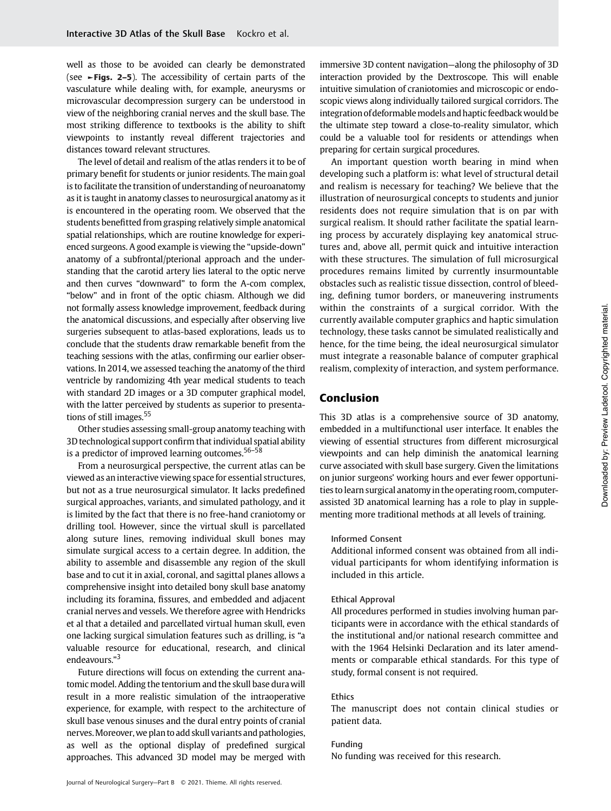well as those to be avoided can clearly be demonstrated (see ►Figs. 2–5). The accessibility of certain parts of the vasculature while dealing with, for example, aneurysms or microvascular decompression surgery can be understood in view of the neighboring cranial nerves and the skull base. The most striking difference to textbooks is the ability to shift viewpoints to instantly reveal different trajectories and distances toward relevant structures.

The level of detail and realism of the atlas renders it to be of primary benefit for students or junior residents. The main goal is to facilitate the transition of understanding of neuroanatomy as it is taught in anatomy classes to neurosurgical anatomy as it is encountered in the operating room. We observed that the students benefitted from grasping relatively simple anatomical spatial relationships, which are routine knowledge for experienced surgeons. A good example is viewing the "upside-down" anatomy of a subfrontal/pterional approach and the understanding that the carotid artery lies lateral to the optic nerve and then curves "downward" to form the A-com complex, "below" and in front of the optic chiasm. Although we did not formally assess knowledge improvement, feedback during the anatomical discussions, and especially after observing live surgeries subsequent to atlas-based explorations, leads us to conclude that the students draw remarkable benefit from the teaching sessions with the atlas, confirming our earlier observations. In 2014, we assessed teaching the anatomy of the third ventricle by randomizing 4th year medical students to teach with standard 2D images or a 3D computer graphical model, with the latter perceived by students as superior to presentations of still images.<sup>55</sup>

Other studies assessing small-group anatomy teaching with 3D technological support confirm that individual spatial ability is a predictor of improved learning outcomes.<sup>56-58</sup>

From a neurosurgical perspective, the current atlas can be viewed as an interactive viewing space for essential structures, but not as a true neurosurgical simulator. It lacks predefined surgical approaches, variants, and simulated pathology, and it is limited by the fact that there is no free-hand craniotomy or drilling tool. However, since the virtual skull is parcellated along suture lines, removing individual skull bones may simulate surgical access to a certain degree. In addition, the ability to assemble and disassemble any region of the skull base and to cut it in axial, coronal, and sagittal planes allows a comprehensive insight into detailed bony skull base anatomy including its foramina, fissures, and embedded and adjacent cranial nerves and vessels. We therefore agree with Hendricks et al that a detailed and parcellated virtual human skull, even one lacking surgical simulation features such as drilling, is "a valuable resource for educational, research, and clinical endeavours."<sup>3</sup>

Future directions will focus on extending the current anatomic model. Adding the tentorium and the skull base dura will result in a more realistic simulation of the intraoperative experience, for example, with respect to the architecture of skull base venous sinuses and the dural entry points of cranial nerves.Moreover,we plan to add skull variants and pathologies, as well as the optional display of predefined surgical approaches. This advanced 3D model may be merged with

immersive 3D content navigation—along the philosophy of 3D interaction provided by the Dextroscope. This will enable intuitive simulation of craniotomies and microscopic or endoscopic views along individually tailored surgical corridors. The integration of deformable models and haptic feedback would be the ultimate step toward a close-to-reality simulator, which could be a valuable tool for residents or attendings when preparing for certain surgical procedures.

An important question worth bearing in mind when developing such a platform is: what level of structural detail and realism is necessary for teaching? We believe that the illustration of neurosurgical concepts to students and junior residents does not require simulation that is on par with surgical realism. It should rather facilitate the spatial learning process by accurately displaying key anatomical structures and, above all, permit quick and intuitive interaction with these structures. The simulation of full microsurgical procedures remains limited by currently insurmountable obstacles such as realistic tissue dissection, control of bleeding, defining tumor borders, or maneuvering instruments within the constraints of a surgical corridor. With the currently available computer graphics and haptic simulation technology, these tasks cannot be simulated realistically and hence, for the time being, the ideal neurosurgical simulator must integrate a reasonable balance of computer graphical realism, complexity of interaction, and system performance.

# Conclusion

This 3D atlas is a comprehensive source of 3D anatomy, embedded in a multifunctional user interface. It enables the viewing of essential structures from different microsurgical viewpoints and can help diminish the anatomical learning curve associated with skull base surgery. Given the limitations on junior surgeons' working hours and ever fewer opportunities to learn surgical anatomy in the operating room, computerassisted 3D anatomical learning has a role to play in supplementing more traditional methods at all levels of training.

#### Informed Consent

Additional informed consent was obtained from all individual participants for whom identifying information is included in this article.

#### Ethical Approval

All procedures performed in studies involving human participants were in accordance with the ethical standards of the institutional and/or national research committee and with the 1964 Helsinki Declaration and its later amendments or comparable ethical standards. For this type of study, formal consent is not required.

#### Ethics

The manuscript does not contain clinical studies or patient data.

# Funding

No funding was received for this research.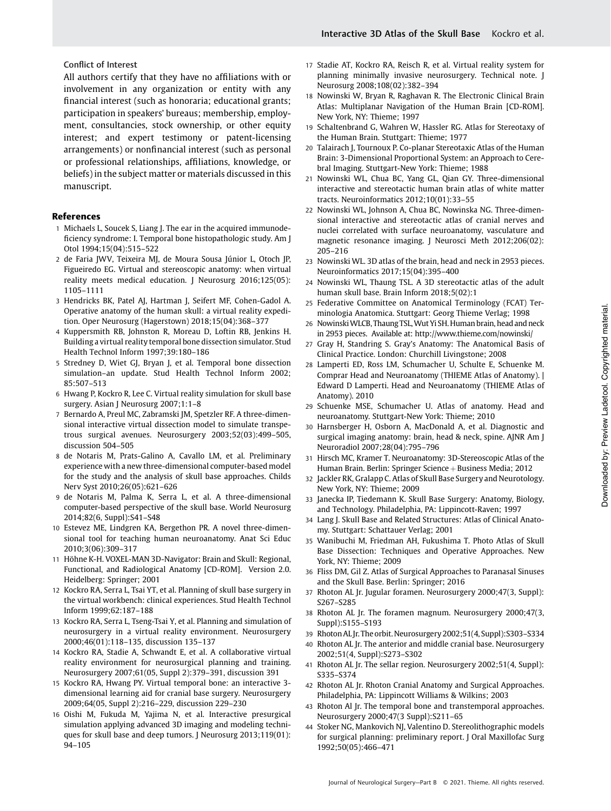# Conflict of Interest

All authors certify that they have no affiliations with or involvement in any organization or entity with any financial interest (such as honoraria; educational grants; participation in speakers' bureaus; membership, employment, consultancies, stock ownership, or other equity interest; and expert testimony or patent-licensing arrangements) or nonfinancial interest (such as personal or professional relationships, affiliations, knowledge, or beliefs) in the subject matter or materials discussed in this manuscript.

#### References

- 1 Michaels L, Soucek S, Liang J. The ear in the acquired immunodeficiency syndrome: I. Temporal bone histopathologic study. Am J Otol 1994;15(04):515–522
- 2 de Faria JWV, Teixeira MJ, de Moura Sousa Júnior L, Otoch JP, Figueiredo EG. Virtual and stereoscopic anatomy: when virtual reality meets medical education. J Neurosurg 2016;125(05): 1105–1111
- 3 Hendricks BK, Patel AJ, Hartman J, Seifert MF, Cohen-Gadol A. Operative anatomy of the human skull: a virtual reality expedition. Oper Neurosurg (Hagerstown) 2018;15(04):368–377
- 4 Kuppersmith RB, Johnston R, Moreau D, Loftin RB, Jenkins H. Building a virtual reality temporal bone dissection simulator. Stud Health Technol Inform 1997;39:180–186
- 5 Stredney D, Wiet GJ, Bryan J, et al. Temporal bone dissection simulation–an update. Stud Health Technol Inform 2002; 85:507–513
- 6 Hwang P, Kockro R, Lee C. Virtual reality simulation for skull base surgery. Asian J Neurosurg 2007;1:1–8
- 7 Bernardo A, Preul MC, Zabramski JM, Spetzler RF. A three-dimensional interactive virtual dissection model to simulate transpetrous surgical avenues. Neurosurgery 2003;52(03):499–505, discussion 504–505
- 8 de Notaris M, Prats-Galino A, Cavallo LM, et al. Preliminary experience with a new three-dimensional computer-based model for the study and the analysis of skull base approaches. Childs Nerv Syst 2010;26(05):621–626
- 9 de Notaris M, Palma K, Serra L, et al. A three-dimensional computer-based perspective of the skull base. World Neurosurg 2014;82(6, Suppl):S41–S48
- 10 Estevez ME, Lindgren KA, Bergethon PR. A novel three-dimensional tool for teaching human neuroanatomy. Anat Sci Educ 2010;3(06):309–317
- 11 Höhne K-H. VOXEL-MAN 3D-Navigator: Brain and Skull: Regional, Functional, and Radiological Anatomy [CD-ROM]. Version 2.0. Heidelberg: Springer; 2001
- 12 Kockro RA, Serra L, Tsai YT, et al. Planning of skull base surgery in the virtual workbench: clinical experiences. Stud Health Technol Inform 1999;62:187–188
- 13 Kockro RA, Serra L, Tseng-Tsai Y, et al. Planning and simulation of neurosurgery in a virtual reality environment. Neurosurgery 2000;46(01):118–135, discussion 135–137
- 14 Kockro RA, Stadie A, Schwandt E, et al. A collaborative virtual reality environment for neurosurgical planning and training. Neurosurgery 2007;61(05, Suppl 2):379–391, discussion 391
- 15 Kockro RA, Hwang PY. Virtual temporal bone: an interactive 3 dimensional learning aid for cranial base surgery. Neurosurgery 2009;64(05, Suppl 2):216–229, discussion 229–230
- 16 Oishi M, Fukuda M, Yajima N, et al. Interactive presurgical simulation applying advanced 3D imaging and modeling techniques for skull base and deep tumors. J Neurosurg 2013;119(01): 94–105
- 17 Stadie AT, Kockro RA, Reisch R, et al. Virtual reality system for planning minimally invasive neurosurgery. Technical note. J Neurosurg 2008;108(02):382–394
- 18 Nowinski W, Bryan R, Raghavan R. The Electronic Clinical Brain Atlas: Multiplanar Navigation of the Human Brain [CD-ROM]. New York, NY: Thieme; 1997
- 19 Schaltenbrand G, Wahren W, Hassler RG. Atlas for Stereotaxy of the Human Brain. Stuttgart: Thieme; 1977
- 20 Talairach J, Tournoux P. Co-planar Stereotaxic Atlas of the Human Brain: 3-Dimensional Proportional System: an Approach to Cerebral Imaging. Stuttgart-New York: Thieme; 1988
- 21 Nowinski WL, Chua BC, Yang GL, Qian GY. Three-dimensional interactive and stereotactic human brain atlas of white matter tracts. Neuroinformatics 2012;10(01):33–55
- 22 Nowinski WL, Johnson A, Chua BC, Nowinska NG. Three-dimensional interactive and stereotactic atlas of cranial nerves and nuclei correlated with surface neuroanatomy, vasculature and magnetic resonance imaging. J Neurosci Meth 2012;206(02): 205–216
- 23 Nowinski WL. 3D atlas of the brain, head and neck in 2953 pieces. Neuroinformatics 2017;15(04):395–400
- 24 Nowinski WL, Thaung TSL. A 3D stereotactic atlas of the adult human skull base. Brain Inform 2018;5(02):1
- 25 Federative Committee on Anatomical Terminology (FCAT) Terminologia Anatomica. Stuttgart: Georg Thieme Verlag; 1998
- 26 NowinskiWLCB, Thaung TSL,Wut Yi SH. Human brain, head and neck in 2953 pieces. Available at:<http://www.thieme.com/nowinski/>
- 27 Gray H, Standring S. Gray's Anatomy: The Anatomical Basis of Clinical Practice. London: Churchill Livingstone; 2008
- 28 Lamperti ED, Ross LM, Schumacher U, Schulte E, Schuenke M. Comprar Head and Neuroanatomy (THIEME Atlas of Anatomy). | Edward D Lamperti. Head and Neuroanatomy (THIEME Atlas of Anatomy). 2010
- 29 Schuenke MSE, Schumacher U. Atlas of anatomy. Head and neuroanatomy. Stuttgart-New York: Thieme; 2010
- 30 Harnsberger H, Osborn A, MacDonald A, et al. Diagnostic and surgical imaging anatomy: brain, head & neck, spine. AJNR Am J Neuroradiol 2007;28(04):795–796
- 31 Hirsch MC, Kramer T. Neuroanatomy: 3D-Stereoscopic Atlas of the Human Brain. Berlin: Springer Science + Business Media; 2012
- 32 Jackler RK, Gralapp C. Atlas of Skull Base Surgery and Neurotology. New York, NY: Thieme; 2009
- 33 Janecka IP, Tiedemann K. Skull Base Surgery: Anatomy, Biology, and Technology. Philadelphia, PA: Lippincott-Raven; 1997
- 34 Lang J. Skull Base and Related Structures: Atlas of Clinical Anatomy. Stuttgart: Schattauer Verlag; 2001
- 35 Wanibuchi M, Friedman AH, Fukushima T. Photo Atlas of Skull Base Dissection: Techniques and Operative Approaches. New York, NY: Thieme; 2009
- 36 Fliss DM, Gil Z. Atlas of Surgical Approaches to Paranasal Sinuses and the Skull Base. Berlin: Springer; 2016
- 37 Rhoton AL Jr. Jugular foramen. Neurosurgery 2000;47(3, Suppl): S267–S285
- 38 Rhoton AL Jr. The foramen magnum. Neurosurgery 2000;47(3, Suppl):S155–S193
- 39 Rhoton AL Jr. The orbit. Neurosurgery 2002;51(4, Suppl):S303–S334
- Rhoton AL Jr. The anterior and middle cranial base. Neurosurgery 2002;51(4, Suppl):S273–S302
- 41 Rhoton AL Jr. The sellar region. Neurosurgery 2002;51(4, Suppl): S335–S374
- 42 Rhoton AL Jr. Rhoton Cranial Anatomy and Surgical Approaches. Philadelphia, PA: Lippincott Williams & Wilkins; 2003
- 43 Rhoton Al Jr. The temporal bone and transtemporal approaches. Neurosurgery 2000;47(3 Suppl):S211–65
- 44 Stoker NG, Mankovich NJ, Valentino D. Stereolithographic models for surgical planning: preliminary report. J Oral Maxillofac Surg 1992;50(05):466–471